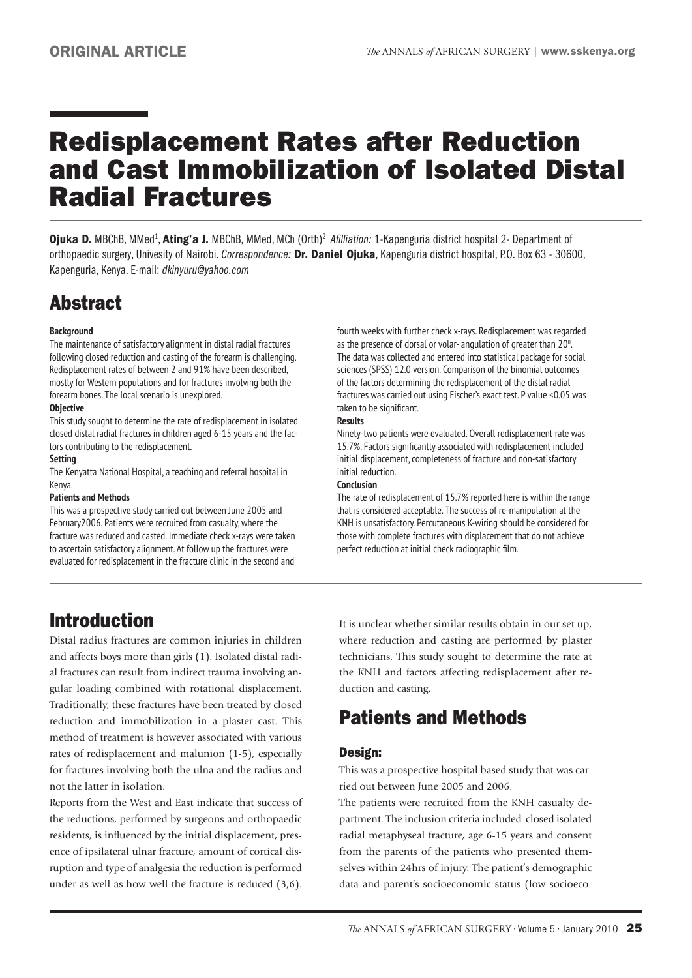# Redisplacement Rates after Reduction and Cast Immobilization of Isolated Distal Radial Fractures

Ojuka D. MBChB, MMed<sup>1</sup>, Ating'a J. MBChB, MMed, MCh (Orth)<sup>2</sup> Afilliation: 1-Kapenguria district hospital 2- Department of orthopaedic surgery, Univesity of Nairobi. *Correspondence:* Dr. Daniel Ojuka, Kapenguria district hospital, P.O. Box 63 - 30600, Kapenguria, Kenya. E-mail: *dkinyuru@yahoo.com*

# Abstract

#### **Background**

The maintenance of satisfactory alignment in distal radial fractures following closed reduction and casting of the forearm is challenging. Redisplacement rates of between 2 and 91% have been described, mostly for Western populations and for fractures involving both the forearm bones. The local scenario is unexplored.

#### **Objective**

This study sought to determine the rate of redisplacement in isolated closed distal radial fractures in children aged 6-15 years and the factors contributing to the redisplacement.

#### **Setting**

The Kenyatta National Hospital, a teaching and referral hospital in Kenya.

#### **Patients and Methods**

This was a prospective study carried out between June 2005 and February2006. Patients were recruited from casualty, where the fracture was reduced and casted. Immediate check x-rays were taken to ascertain satisfactory alignment. At follow up the fractures were evaluated for redisplacement in the fracture clinic in the second and

### Introduction

Distal radius fractures are common injuries in children and affects boys more than girls (1). Isolated distal radial fractures can result from indirect trauma involving angular loading combined with rotational displacement. Traditionally, these fractures have been treated by closed reduction and immobilization in a plaster cast. This method of treatment is however associated with various rates of redisplacement and malunion (1-5), especially for fractures involving both the ulna and the radius and not the latter in isolation.

Reports from the West and East indicate that success of the reductions, performed by surgeons and orthopaedic residents, is influenced by the initial displacement, presence of ipsilateral ulnar fracture, amount of cortical disruption and type of analgesia the reduction is performed under as well as how well the fracture is reduced (3,6).

fourth weeks with further check x-rays. Redisplacement was regarded as the presence of dorsal or volar- angulation of greater than 20<sup>0</sup>. The data was collected and entered into statistical package for social sciences (SPSS) 12.0 version. Comparison of the binomial outcomes of the factors determining the redisplacement of the distal radial fractures was carried out using Fischer's exact test. P value <0.05 was taken to be significant.

#### **Results**

Ninety-two patients were evaluated. Overall redisplacement rate was 15.7%. Factors significantly associated with redisplacement included initial displacement, completeness of fracture and non-satisfactory initial reduction.

#### **Conclusion**

The rate of redisplacement of 15.7% reported here is within the range that is considered acceptable. The success of re-manipulation at the KNH is unsatisfactory. Percutaneous K-wiring should be considered for those with complete fractures with displacement that do not achieve perfect reduction at initial check radiographic film.

It is unclear whether similar results obtain in our set up, where reduction and casting are performed by plaster technicians. This study sought to determine the rate at the KNH and factors affecting redisplacement after reduction and casting.

### Patients and Methods

### Design:

This was a prospective hospital based study that was carried out between June 2005 and 2006.

The patients were recruited from the KNH casualty department. The inclusion criteria included closed isolated radial metaphyseal fracture, age 6-15 years and consent from the parents of the patients who presented themselves within 24hrs of injury. The patient's demographic data and parent's socioeconomic status (low socioeco-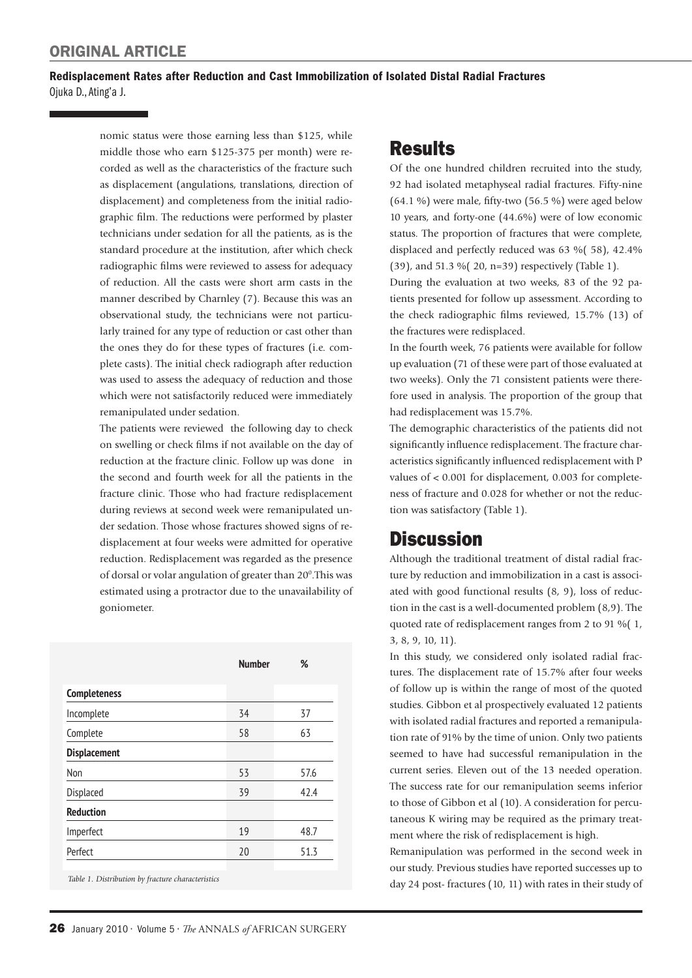### Redisplacement Rates after Reduction and Cast Immobilization of Isolated Distal Radial Fractures Ojuka D., Ating'a J.

nomic status were those earning less than \$125, while middle those who earn \$125-375 per month) were recorded as well as the characteristics of the fracture such as displacement (angulations, translations, direction of displacement) and completeness from the initial radiographic film. The reductions were performed by plaster technicians under sedation for all the patients, as is the standard procedure at the institution, after which check radiographic films were reviewed to assess for adequacy of reduction. All the casts were short arm casts in the manner described by Charnley (7). Because this was an observational study, the technicians were not particularly trained for any type of reduction or cast other than the ones they do for these types of fractures (i.e. complete casts). The initial check radiograph after reduction was used to assess the adequacy of reduction and those which were not satisfactorily reduced were immediately remanipulated under sedation.

The patients were reviewed the following day to check on swelling or check films if not available on the day of reduction at the fracture clinic. Follow up was done in the second and fourth week for all the patients in the fracture clinic. Those who had fracture redisplacement during reviews at second week were remanipulated under sedation. Those whose fractures showed signs of redisplacement at four weeks were admitted for operative reduction. Redisplacement was regarded as the presence of dorsal or volar angulation of greater than 20<sup>0</sup>. This was estimated using a protractor due to the unavailability of goniometer.

|                                                   | <b>Number</b> | %    |
|---------------------------------------------------|---------------|------|
| <b>Completeness</b>                               |               |      |
| Incomplete                                        | 34            | 37   |
| Complete                                          | 58            | 63   |
| <b>Displacement</b>                               |               |      |
| Non                                               | 53            | 57.6 |
| Displaced                                         | 39            | 42.4 |
| <b>Reduction</b>                                  |               |      |
| Imperfect                                         | 19            | 48.7 |
| Perfect                                           | 20            | 51.3 |
|                                                   |               |      |
| Table 1. Distribution by fracture characteristics |               |      |

## **Results**

Of the one hundred children recruited into the study, 92 had isolated metaphyseal radial fractures. Fifty-nine  $(64.1\%)$  were male, fifty-two  $(56.5\%)$  were aged below 10 years, and forty-one (44.6%) were of low economic status. The proportion of fractures that were complete, displaced and perfectly reduced was 63 %( 58), 42.4% (39), and 51.3 %( 20, n=39) respectively (Table 1).

During the evaluation at two weeks, 83 of the 92 patients presented for follow up assessment. According to the check radiographic films reviewed, 15.7% (13) of the fractures were redisplaced.

In the fourth week, 76 patients were available for follow up evaluation (71 of these were part of those evaluated at two weeks). Only the 71 consistent patients were therefore used in analysis. The proportion of the group that had redisplacement was 15.7%.

The demographic characteristics of the patients did not significantly influence redisplacement. The fracture characteristics significantly influenced redisplacement with P values of < 0.001 for displacement, 0.003 for completeness of fracture and 0.028 for whether or not the reduction was satisfactory (Table 1).

### **Discussion**

Although the traditional treatment of distal radial fracture by reduction and immobilization in a cast is associated with good functional results (8, 9), loss of reduction in the cast is a well-documented problem (8,9). The quoted rate of redisplacement ranges from 2 to 91 %( 1, 3, 8, 9, 10, 11).

In this study, we considered only isolated radial fractures. The displacement rate of 15.7% after four weeks of follow up is within the range of most of the quoted studies. Gibbon et al prospectively evaluated 12 patients with isolated radial fractures and reported a remanipulation rate of 91% by the time of union. Only two patients seemed to have had successful remanipulation in the current series. Eleven out of the 13 needed operation. The success rate for our remanipulation seems inferior to those of Gibbon et al (10). A consideration for percutaneous K wiring may be required as the primary treatment where the risk of redisplacement is high.

Remanipulation was performed in the second week in our study. Previous studies have reported successes up to day 24 post- fractures (10, 11) with rates in their study of